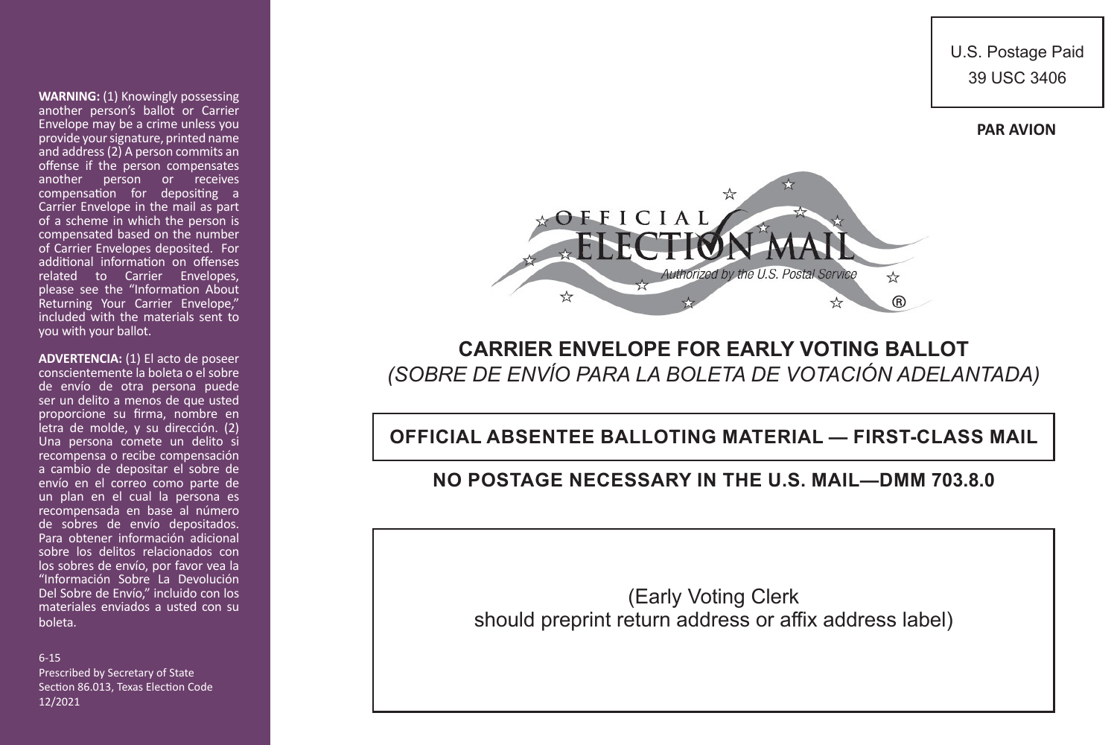U.S. Postage Paid 39 USC 3406





# **CARRIER ENVELOPE FOR EARLY VOTING BALLOT** *(SOBRE DE ENVĺO PARA LA BOLETA DE VOTACIÓN ADELANTADA)*

**OFFICIAL ABSENTEE BALLOTING MATERIAL — FIRST-CLASS MAIL**

## **NO POSTAGE NECESSARY IN THE U.S. MAIL—DMM 703.8.0**

(Early Voting Clerk should preprint return address or affix address label)

**WARNING:** (1) Knowingly possessing another person's ballot or Carrier Envelope may be a crime unless you provide your signature, printed name and address (2) A person commits an offense if the person compensates another person or receives compensation for depositing a Carrier Envelope in the mail as part of a scheme in which the person is compensated based on the number of Carrier Envelopes deposited. For additional information on offenses related to Carrier Envelopes, please see the "Information About Returning Your Carrier Envelope," included with the materials sent to you with your ballot.

**ADVERTENCIA:** (1) El acto de poseer conscientemente la boleta o el sobre de envío de otra persona puede ser un delito a menos de que usted proporcione su firma, nombre en letra de molde, y su dirección. (2) Una persona comete un delito si recompensa o recibe compensación a cambio de depositar el sobre de envío en el correo como parte de un plan en el cual la persona es recompensada en base al número de sobres de envío depositados. Para obtener información adicional sobre los delitos relacionados con los sobres de envío, por favor vea la "Información Sobre La Devolución Del Sobre de Envío," incluido con los materiales enviados a usted con su boleta.

6-15

Prescribed by Secretary of State Section 86.013, Texas Election Code 12/2021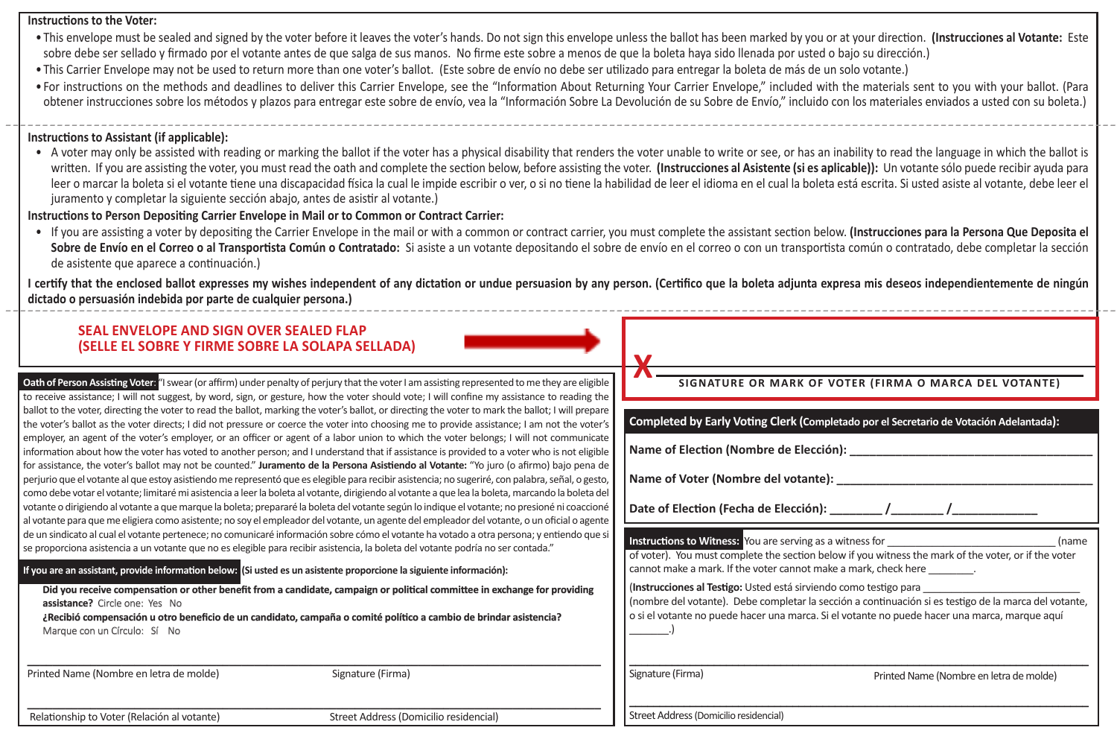#### **Instructions to the Voter:**

- This envelope must be sealed and signed by the voter before it leaves the voter's hands. Do not sign this envelope unless the ballot has been marked by you or at your direction. **(Instrucciones al Votante:** Este sobre debe ser sellado y firmado por el votante antes de que salga de sus manos. No firme este sobre a menos de que la boleta haya sido llenada por usted o bajo su dirección.)
- This Carrier Envelope may not be used to return more than one voter's ballot. (Este sobre de envío no debe ser utilizado para entregar la boleta de más de un solo votante.)
- For instructions on the methods and deadlines to deliver this Carrier Envelope, see the "Information About Returning Your Carrier Envelope," included with the materials sent to you with your ballot. (Para obtener instrucciones sobre los métodos y plazos para entregar este sobre de envío, vea la "Información Sobre La Devolución de su Sobre de Envío," incluido con los materiales enviados a usted con su boleta.) -------------------------------------------------------------------------------------------------------------------------------------------------------

#### **Instructions to Assistant (if applicable):**

• A voter may only be assisted with reading or marking the ballot if the voter has a physical disability that renders the voter unable to write or see, or has an inability to read the language in which the ballot is written. If you are assisting the voter, you must read the oath and complete the section below, before assisting the voter. **(Instrucciones al Asistente (si es aplicable)):** Un votante sólo puede recibir ayuda para leer o marcar la boleta si el votante tiene una discapacidad física la cual le impide escribir o ver, o si no tiene la habilidad de leer el idioma en el cual la boleta está escrita. Si usted asiste al votante, debe leer el juramento y completar la siguiente sección abajo, antes de asistir al votante.)

#### **Instructions to Person Depositing Carrier Envelope in Mail or to Common or Contract Carrier:**

• If you are assisting a voter by depositing the Carrier Envelope in the mail or with a common or contract carrier, you must complete the assistant section below. **(Instrucciones para la Persona Que Deposita el**  Sobre de Envío en el Correo o al Transportista Común o Contratado: Si asiste a un votante depositando el sobre de envío en el correo o con un transportista común o contratado, debe completar la sección de asistente que aparece a continuación.)

I certify that the enclosed ballot expresses my wishes independent of any dictation or undue persuasion by any person. (Certifico que la boleta adjunta expresa mis deseos independientemente de ningún **dictado o persuasión indebida por parte de cualquier persona.)** -------------------------------------------------------------------------------------------------------------------------------------------------------

 **X**

### **SEAL ENVELOPE AND SIGN OVER SEALED FLAP (SELLE EL SOBRE Y FIRME SOBRE LA SOLAPA SELLADA)**

**Oath of Person Assisting Voter:** "I swear (or affirm) under penalty of perjury that the voter I am assisting represented to me they are eligible to receive assistance; I will not suggest, by word, sign, or gesture, how the voter should vote; I will confine my assistance to reading the ballot to the voter, directing the voter to read the ballot, marking the voter's ballot, or directing the voter to mark the ballot; I will prepare the voter's ballot as the voter directs; I did not pressure or coerce the voter into choosing me to provide assistance; I am not the voter's employer, an agent of the voter's employer, or an officer or agent of a labor union to which the voter belongs; I will not communicate information about how the voter has voted to another person; and I understand that if assistance is provided to a voter who is not eligible for assistance, the voter's ballot may not be counted." **Juramento de la Persona Asistiendo al Votante:** "Yo juro (o afirmo) bajo pena de perjurio que el votante al que estoy asistiendo me representó que es elegible para recibir asistencia; no sugeriré, con palabra, señal, o gesto, como debe votar el votante; limitaré mi asistencia a leer la boleta al votante, dirigiendo al votante a que lea la boleta, marcando la boleta del votante o dirigiendo al votante a que marque la boleta; prepararé la boleta del votante según lo indique el votante; no presioné ni coaccioné al votante para que me eligiera como asistente; no soy el empleador del votante, un agente del empleador del votante, o un oficial o agente de un sindicato al cual el votante pertenece; no comunicaré información sobre cómo el votante ha votado a otra persona; y entiendo que se proporciona asistencia a un votante que no es elegible para recibir asistencia, la boleta del votante podría no ser contada."

**\_\_\_\_\_\_\_\_\_\_\_\_\_\_\_\_\_\_\_\_\_\_\_\_\_\_\_\_\_\_\_\_\_\_\_\_\_\_\_\_\_\_\_\_\_\_\_\_\_\_\_\_\_\_\_\_\_\_\_\_\_\_\_\_\_\_\_\_\_\_\_\_\_\_\_\_\_\_\_\_\_\_\_\_\_\_\_\_\_\_\_**

|                                                                                                                     | li votante para que me eligiera como asistente; no soy el empleador del votante, un agente del empleador del votante, o un oncial o agente l                                                                                                                                 |                                                                   |                                                                                                                                                                                                        |       |
|---------------------------------------------------------------------------------------------------------------------|------------------------------------------------------------------------------------------------------------------------------------------------------------------------------------------------------------------------------------------------------------------------------|-------------------------------------------------------------------|--------------------------------------------------------------------------------------------------------------------------------------------------------------------------------------------------------|-------|
|                                                                                                                     | le un sindicato al cual el votante pertenece; no comunicaré información sobre cómo el votante ha votado a otra persona; y entiendo que si<br>e proporciona asistencia a un votante que no es elegible para recibir asistencia, la boleta del votante podría no ser contada." | Instructions to Witness: You are serving as a witness for         | of voter). You must complete the section below if you witness the mark of the voter, or if the voter                                                                                                   | (name |
| f you are an assistant, provide information below: (Si usted es un asistente proporcione la siguiente información): |                                                                                                                                                                                                                                                                              |                                                                   | cannot make a mark. If the voter cannot make a mark, check here                                                                                                                                        |       |
| assistance? Circle one: Yes No<br>Marque con un Círculo: Sí No                                                      | Did you receive compensation or other benefit from a candidate, campaign or political committee in exchange for providing<br>¿Recibió compensación u otro beneficio de un candidato, campaña o comité político a cambio de brindar asistencia?                               | (Instrucciones al Testigo: Usted está sirviendo como testigo para | (nombre del votante). Debe completar la sección a continuación si es testigo de la marca del votante,<br>o si el votante no puede hacer una marca. Si el votante no puede hacer una marca, marque aquí |       |
| Printed Name (Nombre en letra de molde)                                                                             | Signature (Firma)                                                                                                                                                                                                                                                            | Signature (Firma)                                                 | Printed Name (Nombre en letra de molde)                                                                                                                                                                |       |
|                                                                                                                     |                                                                                                                                                                                                                                                                              |                                                                   |                                                                                                                                                                                                        |       |

**Completed by Early Voting Clerk (Completado por el Secretario de Votación Adelantada): Name of Election (Nombre de Elección): Name of Election** 

**SIGNATURE OR MARK OF VOTER (FIRMA O MARCA DEL VOTANTE)**

Date of Election (Fecha de Elección): \_\_\_\_\_\_\_\_\_\_ /\_\_\_\_\_\_\_\_\_ /

Relationship to Voter (Relación al votante) Street Address (Domicilio residencial)

**\_\_\_\_\_\_\_\_\_\_\_\_\_\_\_\_\_\_\_\_\_\_\_\_\_\_\_\_\_\_\_\_\_\_\_\_\_\_\_\_\_\_\_\_\_\_\_\_\_\_\_\_\_\_\_\_\_\_\_\_\_\_\_\_\_\_\_\_\_\_\_\_\_\_\_\_** Street Address (Domicilio residencial)

**Name of Voter (Nombre del votante): \_\_\_\_\_\_\_\_\_\_\_\_\_\_\_\_\_\_\_\_\_\_\_\_\_\_\_\_\_\_\_\_\_\_\_\_\_\_\_**